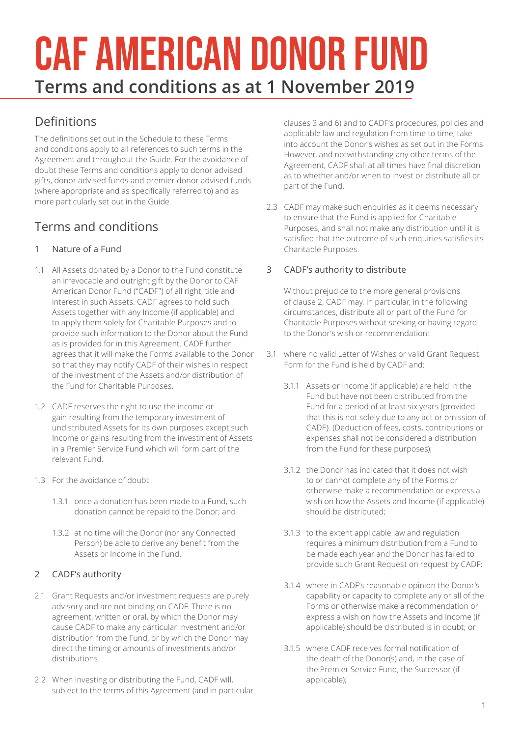# CAF AMERICAN DONOR FUND **Terms and conditions as at 1 November 2019**

# Definitions

The definitions set out in the Schedule to these Terms and conditions apply to all references to such terms in the Agreement and throughout the Guide. For the avoidance of doubt these Terms and conditions apply to donor advised gifts, donor advised funds and premier donor advised funds (where appropriate and as specifically referred to) and as more particularly set out in the Guide.

# Terms and conditions

## 1 Nature of a Fund

- 1.1 All Assets donated by a Donor to the Fund constitute an irrevocable and outright gift by the Donor to CAF American Donor Fund ("CADF") of all right, title and interest in such Assets. CADF agrees to hold such Assets together with any Income (if applicable) and to apply them solely for Charitable Purposes and to provide such information to the Donor about the Fund as is provided for in this Agreement. CADF further agrees that it will make the Forms available to the Donor so that they may notify CADF of their wishes in respect of the investment of the Assets and/or distribution of the Fund for Charitable Purposes.
- 1.2 CADF reserves the right to use the income or gain resulting from the temporary investment of undistributed Assets for its own purposes except such Income or gains resulting from the investment of Assets in a Premier Service Fund which will form part of the relevant Fund.
- 1.3 For the avoidance of doubt:
	- 1.3.1 once a donation has been made to a Fund, such donation cannot be repaid to the Donor; and
	- 1.3.2 at no time will the Donor (nor any Connected Person) be able to derive any benefit from the Assets or Income in the Fund.

## 2 CADF's authority

- 2.1 Grant Requests and/or investment requests are purely advisory and are not binding on CADF. There is no agreement, written or oral, by which the Donor may cause CADF to make any particular investment and/or distribution from the Fund, or by which the Donor may direct the timing or amounts of investments and/or distributions.
- 2.2 When investing or distributing the Fund, CADF will, subject to the terms of this Agreement (and in particular

clauses 3 and 6) and to CADF's procedures, policies and applicable law and regulation from time to time, take into account the Donor's wishes as set out in the Forms. However, and notwithstanding any other terms of the Agreement, CADF shall at all times have final discretion as to whether and/or when to invest or distribute all or part of the Fund.

2.3 CADF may make such enquiries as it deems necessary to ensure that the Fund is applied for Charitable Purposes, and shall not make any distribution until it is satisfied that the outcome of such enquiries satisfies its Charitable Purposes.

## 3 CADF's authority to distribute

Without prejudice to the more general provisions of clause 2, CADF may, in particular, in the following circumstances, distribute all or part of the Fund for Charitable Purposes without seeking or having regard to the Donor's wish or recommendation:

- 3.1 where no valid Letter of Wishes or valid Grant Request Form for the Fund is held by CADF and:
	- 3.1.1 Assets or Income (if applicable) are held in the Fund but have not been distributed from the Fund for a period of at least six years (provided that this is not solely due to any act or omission of CADF). (Deduction of fees, costs, contributions or expenses shall not be considered a distribution from the Fund for these purposes);
	- 3.1.2 the Donor has indicated that it does not wish to or cannot complete any of the Forms or otherwise make a recommendation or express a wish on how the Assets and Income (if applicable) should be distributed;
	- 3.1.3 to the extent applicable law and regulation requires a minimum distribution from a Fund to be made each year and the Donor has failed to provide such Grant Request on request by CADF;
	- 3.1.4 where in CADF's reasonable opinion the Donor's capability or capacity to complete any or all of the Forms or otherwise make a recommendation or express a wish on how the Assets and Income (if applicable) should be distributed is in doubt; or
	- 3.1.5 where CADF receives formal notification of the death of the Donor(s) and, in the case of the Premier Service Fund, the Successor (if applicable);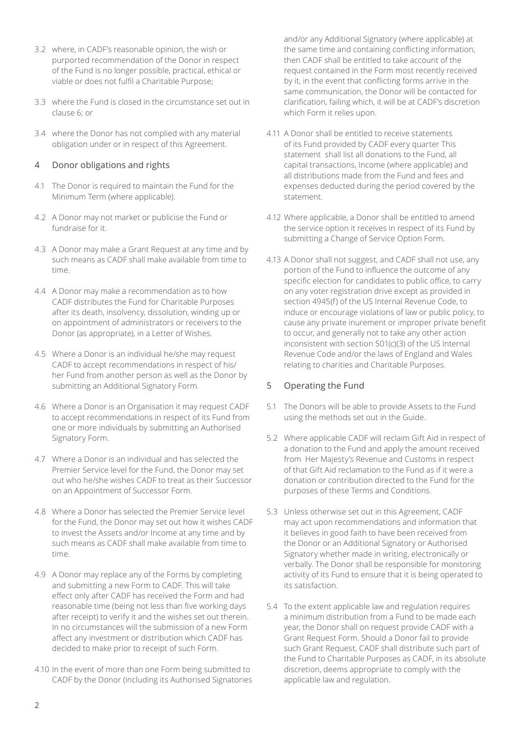- 3.2 where, in CADF's reasonable opinion, the wish or purported recommendation of the Donor in respect of the Fund is no longer possible, practical, ethical or viable or does not fulfil a Charitable Purpose;
- 3.3 where the Fund is closed in the circumstance set out in clause 6; or
- 3.4 where the Donor has not complied with any material obligation under or in respect of this Agreement.

#### 4 Donor obligations and rights

- 4.1 The Donor is required to maintain the Fund for the Minimum Term (where applicable).
- 4.2 A Donor may not market or publicise the Fund or fundraise for it.
- 4.3 A Donor may make a Grant Request at any time and by such means as CADF shall make available from time to time.
- 4.4 A Donor may make a recommendation as to how CADF distributes the Fund for Charitable Purposes after its death, insolvency, dissolution, winding up or on appointment of administrators or receivers to the Donor (as appropriate), in a Letter of Wishes.
- 4.5 Where a Donor is an individual he/she may request CADF to accept recommendations in respect of his/ her Fund from another person as well as the Donor by submitting an Additional Signatory Form.
- 4.6 Where a Donor is an Organisation it may request CADF to accept recommendations in respect of its Fund from one or more individuals by submitting an Authorised Signatory Form.
- 4.7 Where a Donor is an individual and has selected the Premier Service level for the Fund, the Donor may set out who he/she wishes CADF to treat as their Successor on an Appointment of Successor Form.
- 4.8 Where a Donor has selected the Premier Service level for the Fund, the Donor may set out how it wishes CADF to invest the Assets and/or Income at any time and by such means as CADF shall make available from time to time.
- 4.9 A Donor may replace any of the Forms by completing and submitting a new Form to CADF. This will take effect only after CADF has received the Form and had reasonable time (being not less than five working days after receipt) to verify it and the wishes set out therein. In no circumstances will the submission of a new Form affect any investment or distribution which CADF has decided to make prior to receipt of such Form.
- 4.10 In the event of more than one Form being submitted to CADF by the Donor (including its Authorised Signatories

and/or any Additional Signatory (where applicable) at the same time and containing conflicting information, then CADF shall be entitled to take account of the request contained in the Form most recently received by it, in the event that conflicting forms arrive in the same communication, the Donor will be contacted for clarification, failing which, it will be at CADF's discretion which Form it relies upon.

- 4.11 A Donor shall be entitled to receive statements of its Fund provided by CADF every quarter This statement shall list all donations to the Fund, all capital transactions, Income (where applicable) and all distributions made from the Fund and fees and expenses deducted during the period covered by the statement.
- 4.12 Where applicable, a Donor shall be entitled to amend the service option it receives in respect of its Fund by submitting a Change of Service Option Form.
- 4.13 A Donor shall not suggest, and CADF shall not use, any portion of the Fund to influence the outcome of any specific election for candidates to public office, to carry on any voter registration drive except as provided in section 4945(f) of the US Internal Revenue Code, to induce or encourage violations of law or public policy, to cause any private inurement or improper private benefit to occur, and generally not to take any other action inconsistent with section 501(c)(3) of the US Internal Revenue Code and/or the laws of England and Wales relating to charities and Charitable Purposes.

#### 5 Operating the Fund

- 5.1 The Donors will be able to provide Assets to the Fund using the methods set out in the Guide.
- 5.2 Where applicable CADF will reclaim Gift Aid in respect of a donation to the Fund and apply the amount received from Her Majesty's Revenue and Customs in respect of that Gift Aid reclamation to the Fund as if it were a donation or contribution directed to the Fund for the purposes of these Terms and Conditions.
- 5.3 Unless otherwise set out in this Agreement, CADF may act upon recommendations and information that it believes in good faith to have been received from the Donor or an Additional Signatory or Authorised Signatory whether made in writing, electronically or verbally. The Donor shall be responsible for monitoring activity of its Fund to ensure that it is being operated to its satisfaction.
- 5.4 To the extent applicable law and regulation requires a minimum distribution from a Fund to be made each year, the Donor shall on request provide CADF with a Grant Request Form. Should a Donor fail to provide such Grant Request, CADF shall distribute such part of the Fund to Charitable Purposes as CADF, in its absolute discretion, deems appropriate to comply with the applicable law and regulation.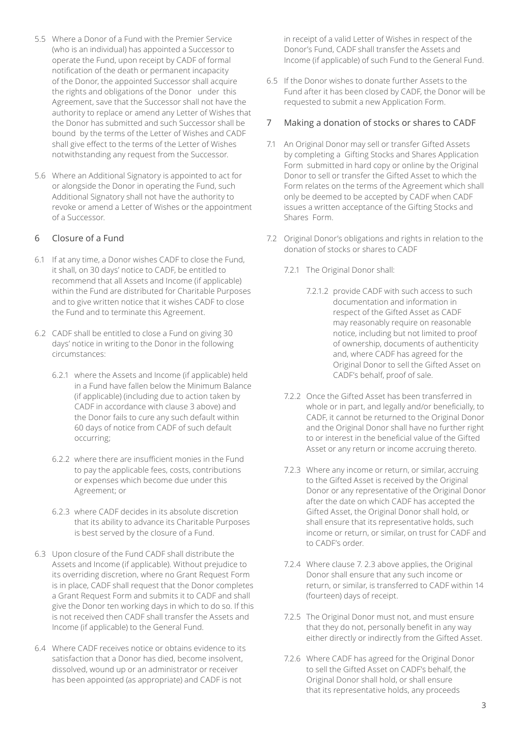- 5.5 Where a Donor of a Fund with the Premier Service (who is an individual) has appointed a Successor to operate the Fund, upon receipt by CADF of formal notification of the death or permanent incapacity of the Donor, the appointed Successor shall acquire the rights and obligations of the Donor under this Agreement, save that the Successor shall not have the authority to replace or amend any Letter of Wishes that the Donor has submitted and such Successor shall be bound by the terms of the Letter of Wishes and CADF shall give effect to the terms of the Letter of Wishes notwithstanding any request from the Successor.
- 5.6 Where an Additional Signatory is appointed to act for or alongside the Donor in operating the Fund, such Additional Signatory shall not have the authority to revoke or amend a Letter of Wishes or the appointment of a Successor.

#### 6 Closure of a Fund

- 6.1 If at any time, a Donor wishes CADF to close the Fund, it shall, on 30 days' notice to CADF, be entitled to recommend that all Assets and Income (if applicable) within the Fund are distributed for Charitable Purposes and to give written notice that it wishes CADF to close the Fund and to terminate this Agreement.
- 6.2 CADF shall be entitled to close a Fund on giving 30 days' notice in writing to the Donor in the following circumstances:
	- 6.2.1 where the Assets and Income (if applicable) held in a Fund have fallen below the Minimum Balance (if applicable) (including due to action taken by CADF in accordance with clause 3 above) and the Donor fails to cure any such default within 60 days of notice from CADF of such default occurring;
	- 6.2.2 where there are insufficient monies in the Fund to pay the applicable fees, costs, contributions or expenses which become due under this Agreement; or
	- 6.2.3 where CADF decides in its absolute discretion that its ability to advance its Charitable Purposes is best served by the closure of a Fund.
- 6.3 Upon closure of the Fund CADF shall distribute the Assets and Income (if applicable). Without prejudice to its overriding discretion, where no Grant Request Form is in place, CADF shall request that the Donor completes a Grant Request Form and submits it to CADF and shall give the Donor ten working days in which to do so. If this is not received then CADF shall transfer the Assets and Income (if applicable) to the General Fund.
- 6.4 Where CADF receives notice or obtains evidence to its satisfaction that a Donor has died, become insolvent, dissolved, wound up or an administrator or receiver has been appointed (as appropriate) and CADF is not

in receipt of a valid Letter of Wishes in respect of the Donor's Fund, CADF shall transfer the Assets and Income (if applicable) of such Fund to the General Fund.

6.5 If the Donor wishes to donate further Assets to the Fund after it has been closed by CADF, the Donor will be requested to submit a new Application Form.

#### 7 Making a donation of stocks or shares to CADF

- 7.1 An Original Donor may sell or transfer Gifted Assets by completing a Gifting Stocks and Shares Application Form submitted in hard copy or online by the Original Donor to sell or transfer the Gifted Asset to which the Form relates on the terms of the Agreement which shall only be deemed to be accepted by CADF when CADF issues a written acceptance of the Gifting Stocks and Shares Form.
- 7.2 Original Donor's obligations and rights in relation to the donation of stocks or shares to CADF
	- 7.2.1 The Original Donor shall:
		- 7.2.1.2 provide CADF with such access to such documentation and information in respect of the Gifted Asset as CADF may reasonably require on reasonable notice, including but not limited to proof of ownership, documents of authenticity and, where CADF has agreed for the Original Donor to sell the Gifted Asset on CADF's behalf, proof of sale.
	- 7.2.2 Once the Gifted Asset has been transferred in whole or in part, and legally and/or beneficially, to CADF, it cannot be returned to the Original Donor and the Original Donor shall have no further right to or interest in the beneficial value of the Gifted Asset or any return or income accruing thereto.
	- 7.2.3 Where any income or return, or similar, accruing to the Gifted Asset is received by the Original Donor or any representative of the Original Donor after the date on which CADF has accepted the Gifted Asset, the Original Donor shall hold, or shall ensure that its representative holds, such income or return, or similar, on trust for CADF and to CADF's order.
	- 7.2.4 Where clause 7. 2.3 above applies, the Original Donor shall ensure that any such income or return, or similar, is transferred to CADF within 14 (fourteen) days of receipt.
	- 7.2.5 The Original Donor must not, and must ensure that they do not, personally benefit in any way either directly or indirectly from the Gifted Asset.
	- 7.2.6 Where CADF has agreed for the Original Donor to sell the Gifted Asset on CADF's behalf, the Original Donor shall hold, or shall ensure that its representative holds, any proceeds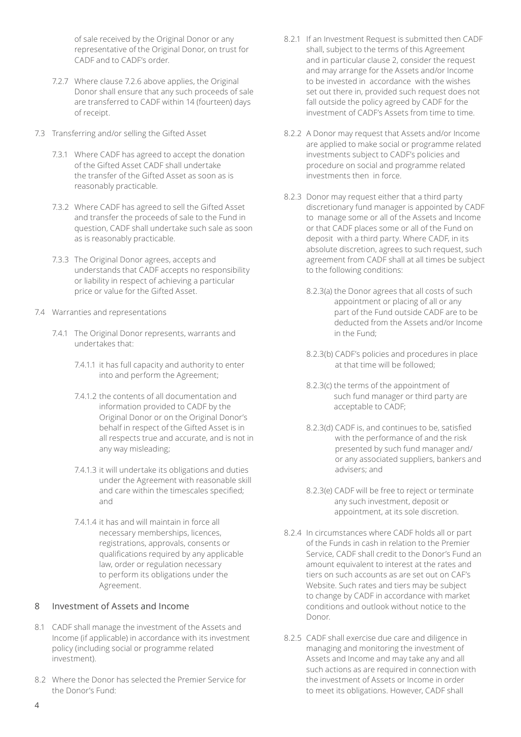of sale received by the Original Donor or any representative of the Original Donor, on trust for CADF and to CADF's order.

- 7.2.7 Where clause 7.2.6 above applies, the Original Donor shall ensure that any such proceeds of sale are transferred to CADF within 14 (fourteen) days of receipt.
- 7.3 Transferring and/or selling the Gifted Asset
	- 7.3.1 Where CADF has agreed to accept the donation of the Gifted Asset CADF shall undertake the transfer of the Gifted Asset as soon as is reasonably practicable.
	- 7.3.2 Where CADF has agreed to sell the Gifted Asset and transfer the proceeds of sale to the Fund in question, CADF shall undertake such sale as soon as is reasonably practicable.
	- 7.3.3 The Original Donor agrees, accepts and understands that CADF accepts no responsibility or liability in respect of achieving a particular price or value for the Gifted Asset.
- 7.4 Warranties and representations
	- 7.4.1 The Original Donor represents, warrants and undertakes that:
		- 7.4.1.1 it has full capacity and authority to enter into and perform the Agreement;
		- 7.4.1.2 the contents of all documentation and information provided to CADF by the Original Donor or on the Original Donor's behalf in respect of the Gifted Asset is in all respects true and accurate, and is not in any way misleading;
		- 7.4.1.3 it will undertake its obligations and duties under the Agreement with reasonable skill and care within the timescales specified; and
		- 7.4.1.4 it has and will maintain in force all necessary memberships, licences, registrations, approvals, consents or qualifications required by any applicable law, order or regulation necessary to perform its obligations under the Agreement.

#### 8 Investment of Assets and Income

- 8.1 CADF shall manage the investment of the Assets and Income (if applicable) in accordance with its investment policy (including social or programme related investment).
- 8.2 Where the Donor has selected the Premier Service for the Donor's Fund:
- 8.2.1 If an Investment Request is submitted then CADF shall, subject to the terms of this Agreement and in particular clause 2, consider the request and may arrange for the Assets and/or Income to be invested in accordance with the wishes set out there in, provided such request does not fall outside the policy agreed by CADF for the investment of CADF's Assets from time to time.
- 8.2.2 A Donor may request that Assets and/or Income are applied to make social or programme related investments subject to CADF's policies and procedure on social and programme related investments then in force.
- 8.2.3 Donor may request either that a third party discretionary fund manager is appointed by CADF to manage some or all of the Assets and Income or that CADF places some or all of the Fund on deposit with a third party. Where CADF, in its absolute discretion, agrees to such request, such agreement from CADF shall at all times be subject to the following conditions:
	- 8.2.3(a) the Donor agrees that all costs of such appointment or placing of all or any part of the Fund outside CADF are to be deducted from the Assets and/or Income in the Fund;
	- 8.2.3(b) CADF's policies and procedures in place at that time will be followed;
	- 8.2.3(c) the terms of the appointment of such fund manager or third party are acceptable to CADF;
	- 8.2.3(d) CADF is, and continues to be, satisfied with the performance of and the risk presented by such fund manager and/ or any associated suppliers, bankers and advisers; and
	- 8.2.3(e) CADF will be free to reject or terminate any such investment, deposit or appointment, at its sole discretion.
- 8.2.4 In circumstances where CADF holds all or part of the Funds in cash in relation to the Premier Service, CADF shall credit to the Donor's Fund an amount equivalent to interest at the rates and tiers on such accounts as are set out on CAF's Website. Such rates and tiers may be subject to change by CADF in accordance with market conditions and outlook without notice to the Donor.
- 8.2.5 CADF shall exercise due care and diligence in managing and monitoring the investment of Assets and Income and may take any and all such actions as are required in connection with the investment of Assets or Income in order to meet its obligations. However, CADF shall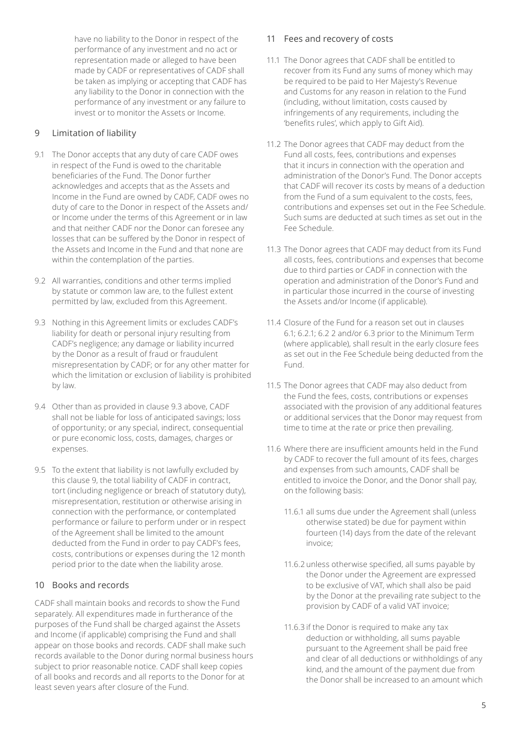have no liability to the Donor in respect of the performance of any investment and no act or representation made or alleged to have been made by CADF or representatives of CADF shall be taken as implying or accepting that CADF has any liability to the Donor in connection with the performance of any investment or any failure to invest or to monitor the Assets or Income.

#### 9 Limitation of liability

- 9.1 The Donor accepts that any duty of care CADF owes in respect of the Fund is owed to the charitable beneficiaries of the Fund. The Donor further acknowledges and accepts that as the Assets and Income in the Fund are owned by CADF, CADF owes no duty of care to the Donor in respect of the Assets and/ or Income under the terms of this Agreement or in law and that neither CADF nor the Donor can foresee any losses that can be suffered by the Donor in respect of the Assets and Income in the Fund and that none are within the contemplation of the parties.
- 9.2 All warranties, conditions and other terms implied by statute or common law are, to the fullest extent permitted by law, excluded from this Agreement.
- 9.3 Nothing in this Agreement limits or excludes CADF's liability for death or personal injury resulting from CADF's negligence; any damage or liability incurred by the Donor as a result of fraud or fraudulent misrepresentation by CADF; or for any other matter for which the limitation or exclusion of liability is prohibited by law.
- 9.4 Other than as provided in clause 9.3 above, CADF shall not be liable for loss of anticipated savings; loss of opportunity; or any special, indirect, consequential or pure economic loss, costs, damages, charges or expenses.
- 9.5 To the extent that liability is not lawfully excluded by this clause 9, the total liability of CADF in contract, tort (including negligence or breach of statutory duty), misrepresentation, restitution or otherwise arising in connection with the performance, or contemplated performance or failure to perform under or in respect of the Agreement shall be limited to the amount deducted from the Fund in order to pay CADF's fees, costs, contributions or expenses during the 12 month period prior to the date when the liability arose.

#### 10 Books and records

CADF shall maintain books and records to show the Fund separately. All expenditures made in furtherance of the purposes of the Fund shall be charged against the Assets and Income (if applicable) comprising the Fund and shall appear on those books and records. CADF shall make such records available to the Donor during normal business hours subject to prior reasonable notice. CADF shall keep copies of all books and records and all reports to the Donor for at least seven years after closure of the Fund.

#### 11 Fees and recovery of costs

- 11.1 The Donor agrees that CADF shall be entitled to recover from its Fund any sums of money which may be required to be paid to Her Majesty's Revenue and Customs for any reason in relation to the Fund (including, without limitation, costs caused by infringements of any requirements, including the 'benefits rules', which apply to Gift Aid).
- 11.2 The Donor agrees that CADF may deduct from the Fund all costs, fees, contributions and expenses that it incurs in connection with the operation and administration of the Donor's Fund. The Donor accepts that CADF will recover its costs by means of a deduction from the Fund of a sum equivalent to the costs, fees, contributions and expenses set out in the Fee Schedule. Such sums are deducted at such times as set out in the Fee Schedule.
- 11.3 The Donor agrees that CADF may deduct from its Fund all costs, fees, contributions and expenses that become due to third parties or CADF in connection with the operation and administration of the Donor's Fund and in particular those incurred in the course of investing the Assets and/or Income (if applicable).
- 11.4 Closure of the Fund for a reason set out in clauses 6.1; 6.2.1; 6.2 2 and/or 6.3 prior to the Minimum Term (where applicable), shall result in the early closure fees as set out in the Fee Schedule being deducted from the Fund.
- 11.5 The Donor agrees that CADF may also deduct from the Fund the fees, costs, contributions or expenses associated with the provision of any additional features or additional services that the Donor may request from time to time at the rate or price then prevailing.
- 11.6 Where there are insufficient amounts held in the Fund by CADF to recover the full amount of its fees, charges and expenses from such amounts, CADF shall be entitled to invoice the Donor, and the Donor shall pay, on the following basis:
	- 11.6.1 all sums due under the Agreement shall (unless otherwise stated) be due for payment within fourteen (14) days from the date of the relevant invoice;
	- 11.6.2 unless otherwise specified, all sums payable by the Donor under the Agreement are expressed to be exclusive of VAT, which shall also be paid by the Donor at the prevailing rate subject to the provision by CADF of a valid VAT invoice;
	- 11.6.3 if the Donor is required to make any tax deduction or withholding, all sums payable pursuant to the Agreement shall be paid free and clear of all deductions or withholdings of any kind, and the amount of the payment due from the Donor shall be increased to an amount which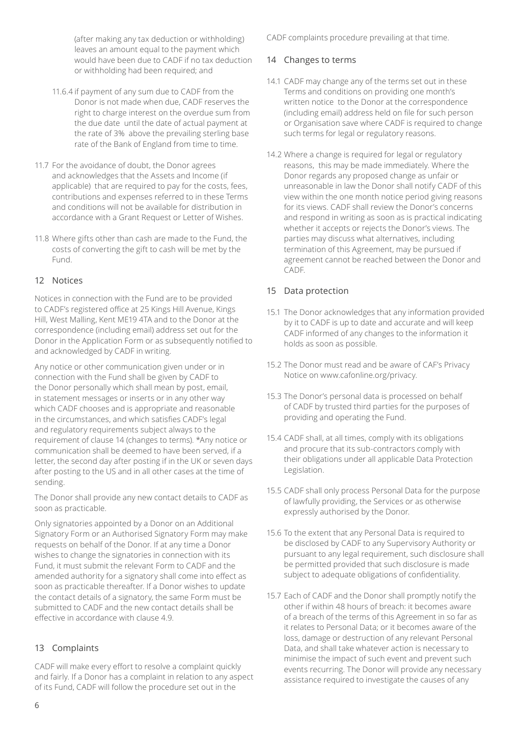(after making any tax deduction or withholding) leaves an amount equal to the payment which would have been due to CADF if no tax deduction or withholding had been required; and

- 11.6.4 if payment of any sum due to CADF from the Donor is not made when due, CADF reserves the right to charge interest on the overdue sum from the due date until the date of actual payment at the rate of 3% above the prevailing sterling base rate of the Bank of England from time to time.
- 11.7 For the avoidance of doubt, the Donor agrees and acknowledges that the Assets and Income (if applicable) that are required to pay for the costs, fees, contributions and expenses referred to in these Terms and conditions will not be available for distribution in accordance with a Grant Request or Letter of Wishes.
- 11.8 Where gifts other than cash are made to the Fund, the costs of converting the gift to cash will be met by the Fund.

#### 12 Notices

Notices in connection with the Fund are to be provided to CADF's registered office at 25 Kings Hill Avenue, Kings Hill, West Malling, Kent ME19 4TA and to the Donor at the correspondence (including email) address set out for the Donor in the Application Form or as subsequently notified to and acknowledged by CADF in writing.

Any notice or other communication given under or in connection with the Fund shall be given by CADF to the Donor personally which shall mean by post, email, in statement messages or inserts or in any other way which CADF chooses and is appropriate and reasonable in the circumstances, and which satisfies CADF's legal and regulatory requirements subject always to the requirement of clause 14 (changes to terms). \*Any notice or communication shall be deemed to have been served, if a letter, the second day after posting if in the UK or seven days after posting to the US and in all other cases at the time of sending.

The Donor shall provide any new contact details to CADF as soon as practicable.

Only signatories appointed by a Donor on an Additional Signatory Form or an Authorised Signatory Form may make requests on behalf of the Donor. If at any time a Donor wishes to change the signatories in connection with its Fund, it must submit the relevant Form to CADF and the amended authority for a signatory shall come into effect as soon as practicable thereafter. If a Donor wishes to update the contact details of a signatory, the same Form must be submitted to CADF and the new contact details shall be effective in accordance with clause 4.9.

### 13 Complaints

CADF will make every effort to resolve a complaint quickly and fairly. If a Donor has a complaint in relation to any aspect of its Fund, CADF will follow the procedure set out in the

CADF complaints procedure prevailing at that time.

#### 14 Changes to terms

- 14.1 CADF may change any of the terms set out in these Terms and conditions on providing one month's written notice to the Donor at the correspondence (including email) address held on file for such person or Organisation save where CADF is required to change such terms for legal or regulatory reasons.
- 14.2 Where a change is required for legal or regulatory reasons, this may be made immediately. Where the Donor regards any proposed change as unfair or unreasonable in law the Donor shall notify CADF of this view within the one month notice period giving reasons for its views. CADF shall review the Donor's concerns and respond in writing as soon as is practical indicating whether it accepts or rejects the Donor's views. The parties may discuss what alternatives, including termination of this Agreement, may be pursued if agreement cannot be reached between the Donor and CADF.

#### 15 Data protection

- 15.1 The Donor acknowledges that any information provided by it to CADF is up to date and accurate and will keep CADF informed of any changes to the information it holds as soon as possible.
- 15.2 The Donor must read and be aware of CAF's Privacy Notice on www.cafonline.org/privacy.
- 15.3 The Donor's personal data is processed on behalf of CADF by trusted third parties for the purposes of providing and operating the Fund.
- 15.4 CADF shall, at all times, comply with its obligations and procure that its sub-contractors comply with their obligations under all applicable Data Protection Legislation.
- 15.5 CADF shall only process Personal Data for the purpose of lawfully providing, the Services or as otherwise expressly authorised by the Donor.
- 15.6 To the extent that any Personal Data is required to be disclosed by CADF to any Supervisory Authority or pursuant to any legal requirement, such disclosure shall be permitted provided that such disclosure is made subject to adequate obligations of confidentiality.
- 15.7 Each of CADF and the Donor shall promptly notify the other if within 48 hours of breach: it becomes aware of a breach of the terms of this Agreement in so far as it relates to Personal Data; or it becomes aware of the loss, damage or destruction of any relevant Personal Data, and shall take whatever action is necessary to minimise the impact of such event and prevent such events recurring. The Donor will provide any necessary assistance required to investigate the causes of any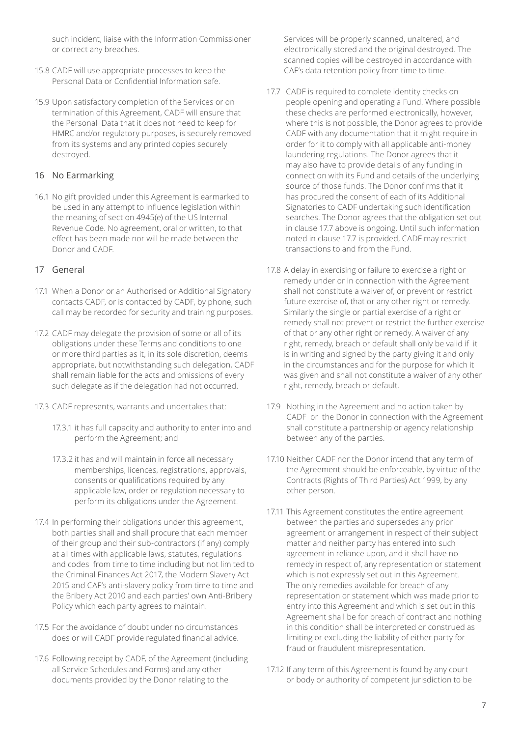such incident, liaise with the Information Commissioner or correct any breaches.

- 15.8 CADF will use appropriate processes to keep the Personal Data or Confidential Information safe.
- 15.9 Upon satisfactory completion of the Services or on termination of this Agreement, CADF will ensure that the Personal Data that it does not need to keep for HMRC and/or regulatory purposes, is securely removed from its systems and any printed copies securely destroyed.

#### 16 No Earmarking

16.1 No gift provided under this Agreement is earmarked to be used in any attempt to influence legislation within the meaning of section 4945(e) of the US Internal Revenue Code. No agreement, oral or written, to that effect has been made nor will be made between the Donor and CADF.

#### 17 General

- 17.1 When a Donor or an Authorised or Additional Signatory contacts CADF, or is contacted by CADF, by phone, such call may be recorded for security and training purposes.
- 17.2 CADF may delegate the provision of some or all of its obligations under these Terms and conditions to one or more third parties as it, in its sole discretion, deems appropriate, but notwithstanding such delegation, CADF shall remain liable for the acts and omissions of every such delegate as if the delegation had not occurred.
- 17.3 CADF represents, warrants and undertakes that:
	- 17.3.1 it has full capacity and authority to enter into and perform the Agreement; and
	- 17.3.2 it has and will maintain in force all necessary memberships, licences, registrations, approvals, consents or qualifications required by any applicable law, order or regulation necessary to perform its obligations under the Agreement.
- 17.4 In performing their obligations under this agreement, both parties shall and shall procure that each member of their group and their sub-contractors (if any) comply at all times with applicable laws, statutes, regulations and codes from time to time including but not limited to the Criminal Finances Act 2017, the Modern Slavery Act 2015 and CAF's anti-slavery policy from time to time and the Bribery Act 2010 and each parties' own Anti-Bribery Policy which each party agrees to maintain.
- 17.5 For the avoidance of doubt under no circumstances does or will CADF provide regulated financial advice.
- 17.6 Following receipt by CADF, of the Agreement (including all Service Schedules and Forms) and any other documents provided by the Donor relating to the

Services will be properly scanned, unaltered, and electronically stored and the original destroyed. The scanned copies will be destroyed in accordance with CAF's data retention policy from time to time.

- 17.7 CADF is required to complete identity checks on people opening and operating a Fund. Where possible these checks are performed electronically, however, where this is not possible, the Donor agrees to provide CADF with any documentation that it might require in order for it to comply with all applicable anti-money laundering regulations. The Donor agrees that it may also have to provide details of any funding in connection with its Fund and details of the underlying source of those funds. The Donor confirms that it has procured the consent of each of its Additional Signatories to CADF undertaking such identification searches. The Donor agrees that the obligation set out in clause 17.7 above is ongoing. Until such information noted in clause 17.7 is provided, CADF may restrict transactions to and from the Fund.
- 17.8 A delay in exercising or failure to exercise a right or remedy under or in connection with the Agreement shall not constitute a waiver of, or prevent or restrict future exercise of, that or any other right or remedy. Similarly the single or partial exercise of a right or remedy shall not prevent or restrict the further exercise of that or any other right or remedy. A waiver of any right, remedy, breach or default shall only be valid if it is in writing and signed by the party giving it and only in the circumstances and for the purpose for which it was given and shall not constitute a waiver of any other right, remedy, breach or default.
- 17.9 Nothing in the Agreement and no action taken by CADF or the Donor in connection with the Agreement shall constitute a partnership or agency relationship between any of the parties.
- 17.10 Neither CADF nor the Donor intend that any term of the Agreement should be enforceable, by virtue of the Contracts (Rights of Third Parties) Act 1999, by any other person.
- 17.11 This Agreement constitutes the entire agreement between the parties and supersedes any prior agreement or arrangement in respect of their subject matter and neither party has entered into such agreement in reliance upon, and it shall have no remedy in respect of, any representation or statement which is not expressly set out in this Agreement. The only remedies available for breach of any representation or statement which was made prior to entry into this Agreement and which is set out in this Agreement shall be for breach of contract and nothing in this condition shall be interpreted or construed as limiting or excluding the liability of either party for fraud or fraudulent misrepresentation.
- 17.12 If any term of this Agreement is found by any court or body or authority of competent jurisdiction to be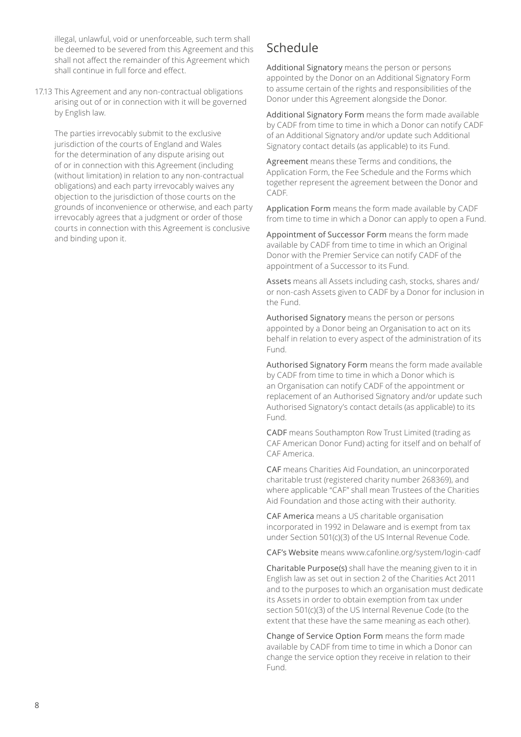illegal, unlawful, void or unenforceable, such term shall be deemed to be severed from this Agreement and this shall not affect the remainder of this Agreement which shall continue in full force and effect.

17.13 This Agreement and any non-contractual obligations arising out of or in connection with it will be governed by English law.

The parties irrevocably submit to the exclusive jurisdiction of the courts of England and Wales for the determination of any dispute arising out of or in connection with this Agreement (including (without limitation) in relation to any non-contractual obligations) and each party irrevocably waives any objection to the jurisdiction of those courts on the grounds of inconvenience or otherwise, and each party irrevocably agrees that a judgment or order of those courts in connection with this Agreement is conclusive and binding upon it.

# Schedule

Additional Signatory means the person or persons appointed by the Donor on an Additional Signatory Form to assume certain of the rights and responsibilities of the Donor under this Agreement alongside the Donor.

Additional Signatory Form means the form made available by CADF from time to time in which a Donor can notify CADF of an Additional Signatory and/or update such Additional Signatory contact details (as applicable) to its Fund.

Agreement means these Terms and conditions, the Application Form, the Fee Schedule and the Forms which together represent the agreement between the Donor and CADF.

Application Form means the form made available by CADF from time to time in which a Donor can apply to open a Fund.

Appointment of Successor Form means the form made available by CADF from time to time in which an Original Donor with the Premier Service can notify CADF of the appointment of a Successor to its Fund.

Assets means all Assets including cash, stocks, shares and/ or non-cash Assets given to CADF by a Donor for inclusion in the Fund.

Authorised Signatory means the person or persons appointed by a Donor being an Organisation to act on its behalf in relation to every aspect of the administration of its Fund.

Authorised Signatory Form means the form made available by CADF from time to time in which a Donor which is an Organisation can notify CADF of the appointment or replacement of an Authorised Signatory and/or update such Authorised Signatory's contact details (as applicable) to its Fund.

CADF means Southampton Row Trust Limited (trading as CAF American Donor Fund) acting for itself and on behalf of CAF America.

CAF means Charities Aid Foundation, an unincorporated charitable trust (registered charity number 268369), and where applicable "CAF" shall mean Trustees of the Charities Aid Foundation and those acting with their authority.

CAF America means a US charitable organisation incorporated in 1992 in Delaware and is exempt from tax under Section 501(c)(3) of the US Internal Revenue Code.

CAF's Website means www.cafonline.org/system/login-cadf

Charitable Purpose(s) shall have the meaning given to it in English law as set out in section 2 of the Charities Act 2011 and to the purposes to which an organisation must dedicate its Assets in order to obtain exemption from tax under section 501(c)(3) of the US Internal Revenue Code (to the extent that these have the same meaning as each other).

Change of Service Option Form means the form made available by CADF from time to time in which a Donor can change the service option they receive in relation to their Fund.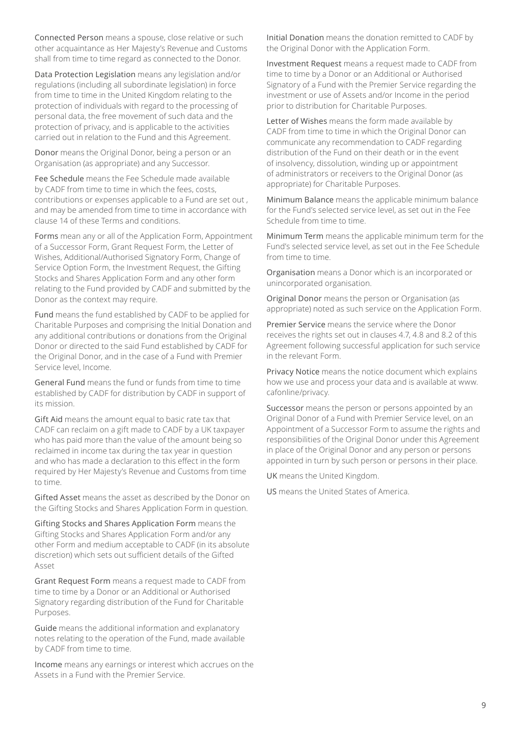Connected Person means a spouse, close relative or such other acquaintance as Her Majesty's Revenue and Customs shall from time to time regard as connected to the Donor.

Data Protection Legislation means any legislation and/or regulations (including all subordinate legislation) in force from time to time in the United Kingdom relating to the protection of individuals with regard to the processing of personal data, the free movement of such data and the protection of privacy, and is applicable to the activities carried out in relation to the Fund and this Agreement.

Donor means the Original Donor, being a person or an Organisation (as appropriate) and any Successor.

Fee Schedule means the Fee Schedule made available by CADF from time to time in which the fees, costs, contributions or expenses applicable to a Fund are set out , and may be amended from time to time in accordance with clause 14 of these Terms and conditions.

Forms mean any or all of the Application Form, Appointment of a Successor Form, Grant Request Form, the Letter of Wishes, Additional/Authorised Signatory Form, Change of Service Option Form, the Investment Request, the Gifting Stocks and Shares Application Form and any other form relating to the Fund provided by CADF and submitted by the Donor as the context may require.

Fund means the fund established by CADF to be applied for Charitable Purposes and comprising the Initial Donation and any additional contributions or donations from the Original Donor or directed to the said Fund established by CADF for the Original Donor, and in the case of a Fund with Premier Service level, Income.

General Fund means the fund or funds from time to time established by CADF for distribution by CADF in support of its mission.

Gift Aid means the amount equal to basic rate tax that CADF can reclaim on a gift made to CADF by a UK taxpayer who has paid more than the value of the amount being so reclaimed in income tax during the tax year in question and who has made a declaration to this effect in the form required by Her Majesty's Revenue and Customs from time to time.

Gifted Asset means the asset as described by the Donor on the Gifting Stocks and Shares Application Form in question.

Gifting Stocks and Shares Application Form means the Gifting Stocks and Shares Application Form and/or any other Form and medium acceptable to CADF (in its absolute discretion) which sets out sufficient details of the Gifted Asset

Grant Request Form means a request made to CADF from time to time by a Donor or an Additional or Authorised Signatory regarding distribution of the Fund for Charitable Purposes.

Guide means the additional information and explanatory notes relating to the operation of the Fund, made available by CADF from time to time.

Income means any earnings or interest which accrues on the Assets in a Fund with the Premier Service.

Initial Donation means the donation remitted to CADF by the Original Donor with the Application Form.

Investment Request means a request made to CADF from time to time by a Donor or an Additional or Authorised Signatory of a Fund with the Premier Service regarding the investment or use of Assets and/or Income in the period prior to distribution for Charitable Purposes.

Letter of Wishes means the form made available by CADF from time to time in which the Original Donor can communicate any recommendation to CADF regarding distribution of the Fund on their death or in the event of insolvency, dissolution, winding up or appointment of administrators or receivers to the Original Donor (as appropriate) for Charitable Purposes.

Minimum Balance means the applicable minimum balance for the Fund's selected service level, as set out in the Fee Schedule from time to time.

Minimum Term means the applicable minimum term for the Fund's selected service level, as set out in the Fee Schedule from time to time.

Organisation means a Donor which is an incorporated or unincorporated organisation.

Original Donor means the person or Organisation (as appropriate) noted as such service on the Application Form.

Premier Service means the service where the Donor receives the rights set out in clauses 4.7, 4.8 and 8.2 of this Agreement following successful application for such service in the relevant Form.

Privacy Notice means the notice document which explains how we use and process your data and is available at www. cafonline/privacy.

Successor means the person or persons appointed by an Original Donor of a Fund with Premier Service level, on an Appointment of a Successor Form to assume the rights and responsibilities of the Original Donor under this Agreement in place of the Original Donor and any person or persons appointed in turn by such person or persons in their place.

UK means the United Kingdom.

US means the United States of America.